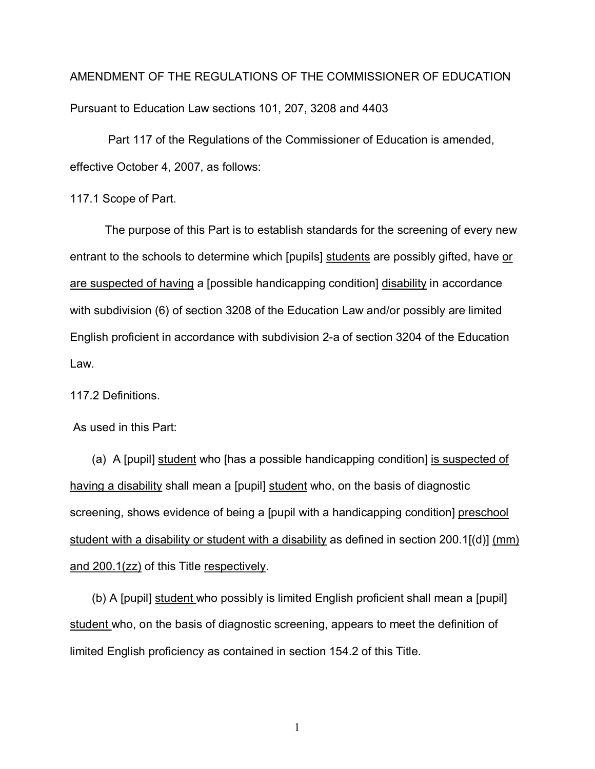AMENDMENT OF THE REGULATIONS OF THE COMMISSIONER OF EDUCATION Pursuant to Education Law sections 101, 207, 3208 and 4403

Part 117 of the Regulations of the Commissioner of Education is amended, effective October 4, 2007, as follows:

117.1 Scope of Part.

entrant to the schools to determine which [pupils] students are possibly gifted, have or are suspected of having a [possible handicapping condition] disability in accordance English proficient in accordance with subdivision 2-a of section 3204 of the Education The purpose of this Part is to establish standards for the screening of every new with subdivision (6) of section 3208 of the Education Law and/or possibly are limited Law.

117.2 Definitions.

As used in this Part:

(a) A [pupil] student who [has a possible handicapping condition] is suspected of having a disability shall mean a [pupil] student who, on the basis of diagnostic screening, shows evidence of being a [pupil with a handicapping condition] preschool student with a disability or student with a disability as defined in section 200.1[(d)] (mm) and 200.1(zz) of this Title respectively.

(b) A [pupil] student who possibly is limited English proficient shall mean a [pupil] student who, on the basis of diagnostic screening, appears to meet the definition of limited English proficiency as contained in section 154.2 of this Title.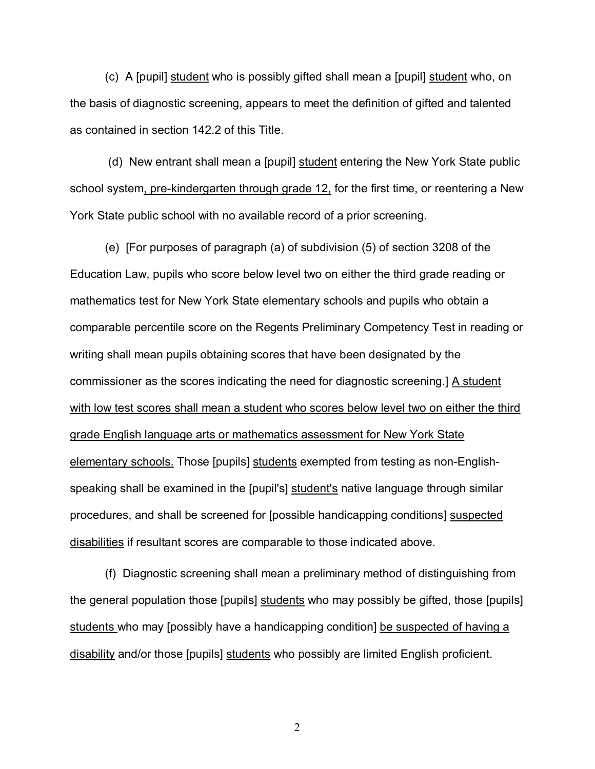(c) A [pupil] student who is possibly gifted shall mean a [pupil] student who, on the basis of diagnostic screening, appears to meet the definition of gifted and talented as contained in section 142.2 of this Title.

(d) New entrant shall mean a [pupil] student entering the New York State public school system, pre-kindergarten through grade 12, for the first time, or reentering a New York State public school with no available record of a prior screening.

 (e) [For purposes of paragraph (a) of subdivision (5) of section 3208 of the Education Law, pupils who score below level two on either the third grade reading or mathematics test for New York State elementary schools and pupils who obtain a comparable percentile score on the Regents Preliminary Competency Test in reading or writing shall mean pupils obtaining scores that have been designated by the commissioner as the scores indicating the need for diagnostic screening.] A student with low test scores shall mean a student who scores below level two on either the third grade English language arts or mathematics assessment for New York State elementary schools. Those [pupils] students exempted from testing as non-Englishspeaking shall be examined in the [pupil's] student's native language through similar procedures, and shall be screened for [possible handicapping conditions] suspected disabilities if resultant scores are comparable to those indicated above.

(f) Diagnostic screening shall mean a preliminary method of distinguishing from the general population those [pupils] students who may possibly be gifted, those [pupils] students who may [possibly have a handicapping condition] be suspected of having a disability and/or those [pupils] students who possibly are limited English proficient.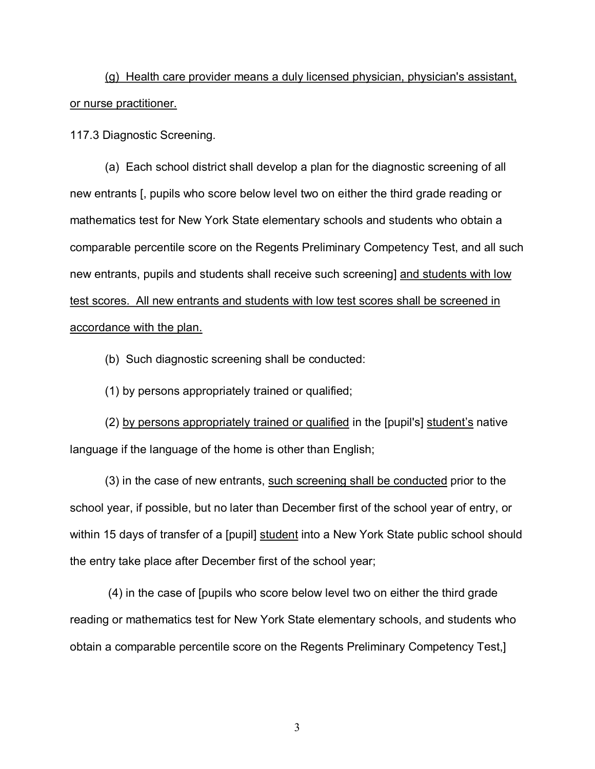(g) Health care provider means a duly licensed physician, physician's assistant, or nurse practitioner.

117.3 Diagnostic Screening.

(a) Each school district shall develop a plan for the diagnostic screening of all new entrants [, pupils who score below level two on either the third grade reading or mathematics test for New York State elementary schools and students who obtain a comparable percentile score on the Regents Preliminary Competency Test, and all such new entrants, pupils and students shall receive such screening] and students with low test scores. All new entrants and students with low test scores shall be screened in accordance with the plan.

(b) Such diagnostic screening shall be conducted:

(1) by persons appropriately trained or qualified;

(2) by persons appropriately trained or qualified in the [pupil's] student's native language if the language of the home is other than English;

 school year, if possible, but no later than December first of the school year of entry, or (3) in the case of new entrants, such screening shall be conducted prior to the within 15 days of transfer of a [pupil] student into a New York State public school should the entry take place after December first of the school year;

(4) in the case of [pupils who score below level two on either the third grade reading or mathematics test for New York State elementary schools, and students who obtain a comparable percentile score on the Regents Preliminary Competency Test,]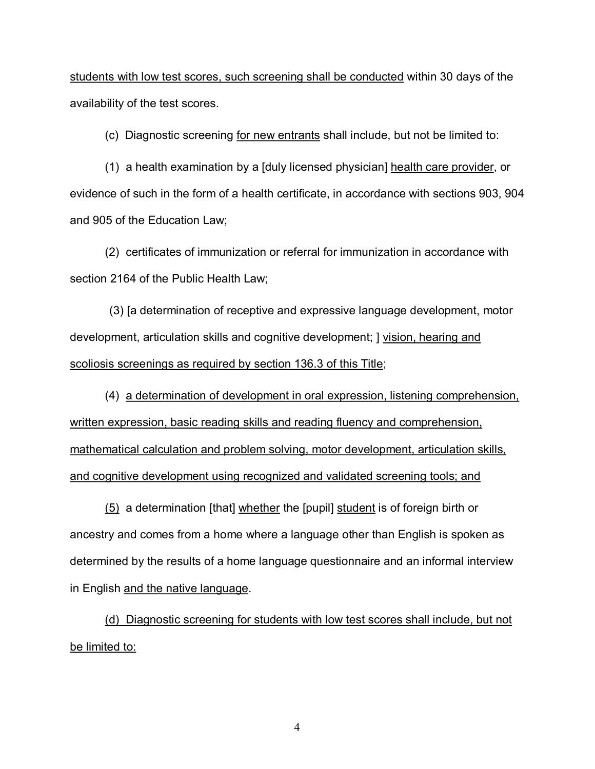students with low test scores, such screening shall be conducted within 30 days of the availability of the test scores.

(c) Diagnostic screening for new entrants shall include, but not be limited to:

(1) a health examination by a [duly licensed physician] health care provider, or evidence of such in the form of a health certificate, in accordance with sections 903, 904 and 905 of the Education Law;

(2) certificates of immunization or referral for immunization in accordance with section 2164 of the Public Health Law;

(3) [a determination of receptive and expressive language development, motor development, articulation skills and cognitive development; ] vision, hearing and scoliosis screenings as required by section 136.3 of this Title;

(4) a determination of development in oral expression, listening comprehension, written expression, basic reading skills and reading fluency and comprehension, mathematical calculation and problem solving, motor development, articulation skills, and cognitive development using recognized and validated screening tools; and

(5) a determination [that] whether the [pupil] student is of foreign birth or ancestry and comes from a home where a language other than English is spoken as determined by the results of a home language questionnaire and an informal interview in English and the native language.

(d) Diagnostic screening for students with low test scores shall include, but not be limited to: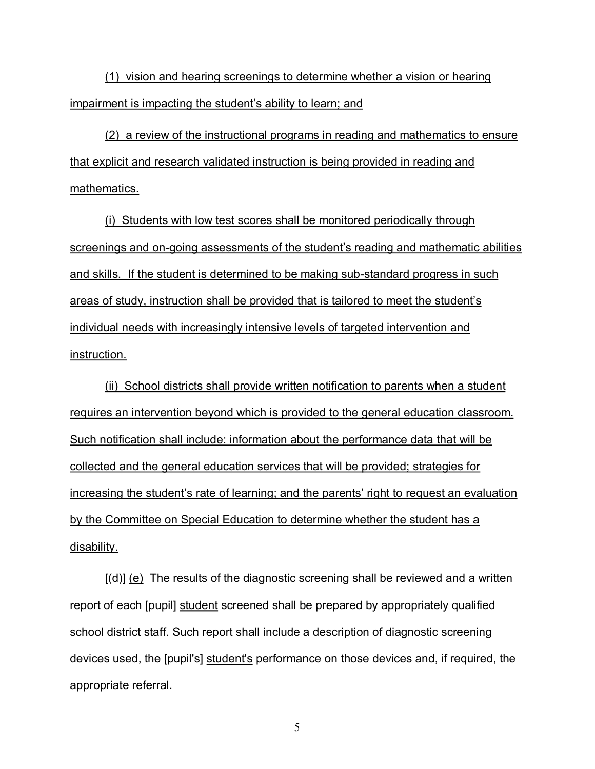(1) vision and hearing screenings to determine whether a vision or hearing impairment is impacting the student's ability to learn; and

(2) a review of the instructional programs in reading and mathematics to ensure that explicit and research validated instruction is being provided in reading and mathematics.

(i) Students with low test scores shall be monitored periodically through screenings and on-going assessments of the student's reading and mathematic abilities and skills. If the student is determined to be making sub-standard progress in such areas of study, instruction shall be provided that is tailored to meet the student's individual needs with increasingly intensive levels of targeted intervention and instruction.

(ii) School districts shall provide written notification to parents when a student requires an intervention beyond which is provided to the general education classroom. Such notification shall include: information about the performance data that will be collected and the general education services that will be provided; strategies for increasing the student's rate of learning; and the parents' right to request an evaluation by the Committee on Special Education to determine whether the student has a disability.

 school district staff. Such report shall include a description of diagnostic screening [(d)] (e) The results of the diagnostic screening shall be reviewed and a written report of each [pupil] student screened shall be prepared by appropriately qualified devices used, the [pupil's] student's performance on those devices and, if required, the appropriate referral.